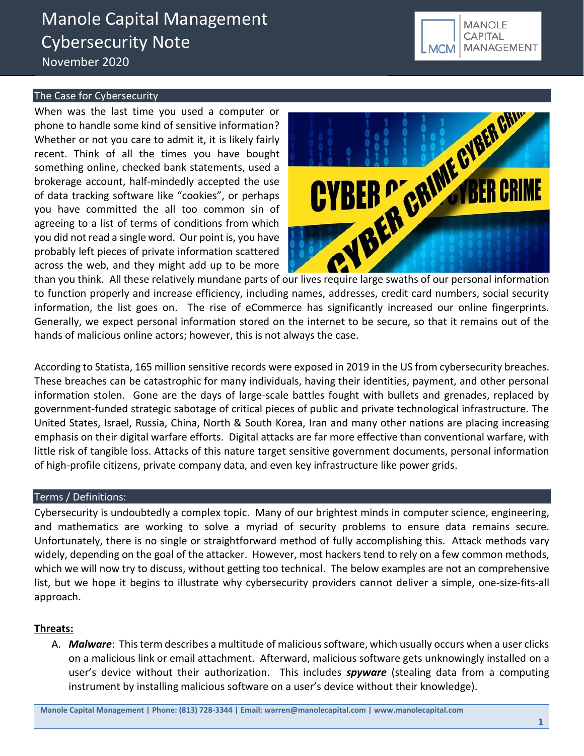# The Case for Cybersecurity

When was the last time you used a computer or phone to handle some kind of sensitive information? Whether or not you care to admit it, it is likely fairly recent. Think of all the times you have bought something online, checked bank statements, used a brokerage account, half-mindedly accepted the use of data tracking software like "cookies", or perhaps you have committed the all too common sin of agreeing to a list of terms of conditions from which you did not read a single word. Our point is, you have probably left pieces of private information scattered across the web, and they might add up to be more



to function properly and increase efficiency, including names, addresses, credit card numbers, social security information, the list goes on. The rise of eCommerce has significantly increased our online fingerprints. Generally, we expect personal information stored on the internet to be secure, so that it remains out of the hands of malicious online actors; however, this is not always the case.

According to Statista, 165 million sensitive records were exposed in 2019 in the US from cybersecurity breaches. These breaches can be catastrophic for many individuals, having their identities, payment, and other personal information stolen. Gone are the days of large-scale battles fought with bullets and grenades, replaced by government-funded strategic sabotage of critical pieces of public and private technological infrastructure. The United States, Israel, Russia, China, North & South Korea, Iran and many other nations are placing increasing emphasis on their digital warfare efforts. Digital attacks are far more effective than conventional warfare, with little risk of tangible loss. Attacks of this nature target sensitive government documents, personal information of high-profile citizens, private company data, and even key infrastructure like power grids.

# Terms / Definitions:

Cybersecurity is undoubtedly a complex topic. Many of our brightest minds in computer science, engineering, and mathematics are working to solve a myriad of security problems to ensure data remains secure. Unfortunately, there is no single or straightforward method of fully accomplishing this. Attack methods vary widely, depending on the goal of the attacker. However, most hackers tend to rely on a few common methods, which we will now try to discuss, without getting too technical. The below examples are not an comprehensive list, but we hope it begins to illustrate why cybersecurity providers cannot deliver a simple, one-size-fits-all approach.

# **Threats:**

A. *Malware*: This term describes a multitude of malicious software, which usually occurs when a user clicks on a malicious link or email attachment. Afterward, malicious software gets unknowingly installed on a user's device without their authorization. This includes *spyware* (stealing data from a computing instrument by installing malicious software on a user's device without their knowledge).

**Manole Capital Management | Phone: (813) 728-3344 | Email: warren@manolecapital.com | www.manolecapital.com**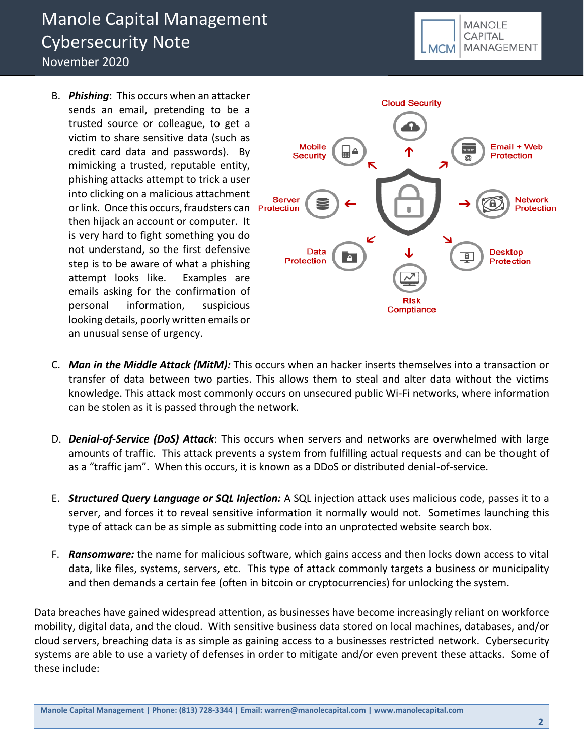B. *Phishing*: This occurs when an attacker sends an email, pretending to be a trusted source or colleague, to get a victim to share sensitive data (such as credit card data and passwords). By mimicking a trusted, reputable entity, phishing attacks attempt to trick a user into clicking on a malicious attachment or link. Once this occurs, fraudsters can Protection then hijack an account or computer. It is very hard to fight something you do not understand, so the first defensive step is to be aware of what a phishing attempt looks like. Examples are emails asking for the confirmation of personal information, suspicious looking details, poorly written emails or an unusual sense of urgency.



**MANOLE CAPITAL** 

**MCM** 

MANAGEMENT

- C. *Man in the Middle Attack (MitM):* This occurs when an hacker inserts themselves into a transaction or transfer of data between two parties. This allows them to steal and alter data without the victims knowledge. This attack most commonly occurs on unsecured public Wi-Fi networks, where information can be stolen as it is passed through the network.
- D. *Denial-of-Service (DoS) Attack*: This occurs when servers and networks are overwhelmed with large amounts of traffic. This attack prevents a system from fulfilling actual requests and can be thought of as a "traffic jam". When this occurs, it is known as a DDoS or distributed denial-of-service.
- E. *Structured Query Language or SQL Injection:* A SQL injection attack uses malicious code, passes it to a server, and forces it to reveal sensitive information it normally would not. Sometimes launching this type of attack can be as simple as submitting code into an unprotected website search box.
- F. *Ransomware:* the name for malicious software, which gains access and then locks down access to vital data, like files, systems, servers, etc. This type of attack commonly targets a business or municipality and then demands a certain fee (often in bitcoin or cryptocurrencies) for unlocking the system.

Data breaches have gained widespread attention, as businesses have become increasingly reliant on workforce mobility, digital data, and the cloud. With sensitive business data stored on local machines, databases, and/or cloud servers, breaching data is as simple as gaining access to a businesses restricted network. Cybersecurity systems are able to use a variety of defenses in order to mitigate and/or even prevent these attacks. Some of these include: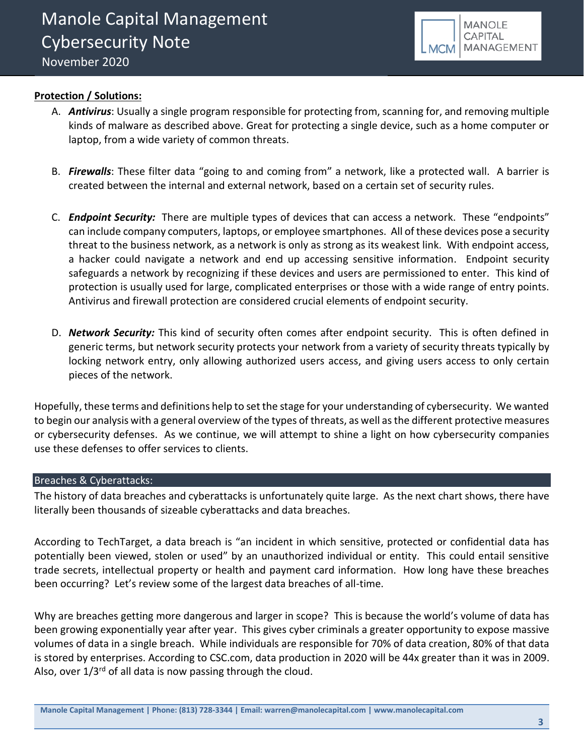

# **Protection / Solutions:**

- A. *Antivirus*: Usually a single program responsible for protecting from, scanning for, and removing multiple kinds of malware as described above. Great for protecting a single device, such as a home computer or laptop, from a wide variety of common threats.
- B. *Firewalls*: These filter data "going to and coming from" a network, like a protected wall. A barrier is created between the internal and external network, based on a certain set of security rules.
- C. *Endpoint Security:* There are multiple types of devices that can access a network. These "endpoints" can include company computers, laptops, or employee smartphones. All of these devices pose a security threat to the business network, as a network is only as strong as its weakest link. With endpoint access, a hacker could navigate a network and end up accessing sensitive information. Endpoint security safeguards a network by recognizing if these devices and users are permissioned to enter. This kind of protection is usually used for large, complicated enterprises or those with a wide range of entry points. Antivirus and firewall protection are considered crucial elements of endpoint security.
- D. *Network Security:* This kind of security often comes after endpoint security. This is often defined in generic terms, but network security protects your network from a variety of security threats typically by locking network entry, only allowing authorized users access, and giving users access to only certain pieces of the network.

Hopefully, these terms and definitions help to set the stage for your understanding of cybersecurity. We wanted to begin our analysis with a general overview of the types of threats, as well as the different protective measures or cybersecurity defenses. As we continue, we will attempt to shine a light on how cybersecurity companies use these defenses to offer services to clients.

# Breaches & Cyberattacks:

The history of data breaches and cyberattacks is unfortunately quite large. As the next chart shows, there have literally been thousands of sizeable cyberattacks and data breaches.

According to TechTarget, a data breach is "an incident in which sensitive, protected or confidential data has potentially been viewed, stolen or used" by an unauthorized individual or entity. This could entail sensitive trade secrets, intellectual property or health and payment card information. How long have these breaches been occurring? Let's review some of the largest data breaches of all-time.

Why are breaches getting more dangerous and larger in scope? This is because the world's volume of data has been growing exponentially year after year. This gives cyber criminals a greater opportunity to expose massive volumes of data in a single breach. While individuals are responsible for 70% of data creation, 80% of that data is stored by enterprises. According to CSC.com, data production in 2020 will be 44x greater than it was in 2009. Also, over  $1/3^{rd}$  of all data is now passing through the cloud.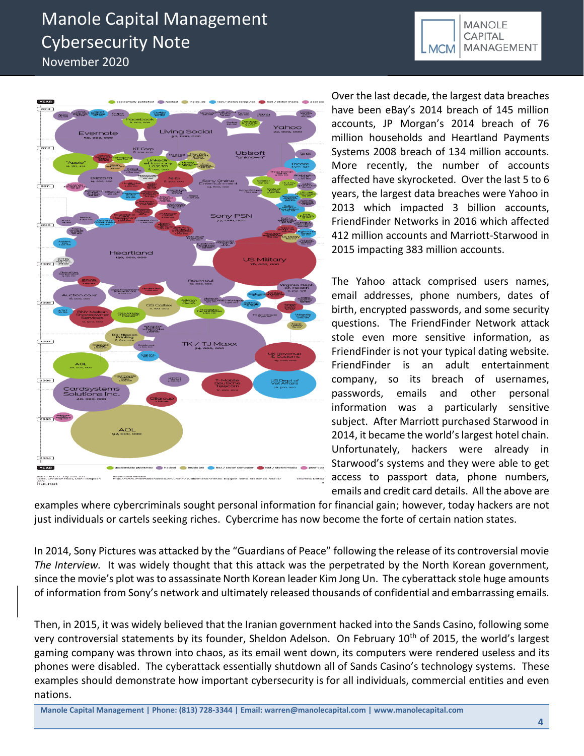



Over the last decade, the largest data breaches have been eBay's 2014 breach of 145 million accounts, JP Morgan's 2014 breach of 76 million households and Heartland Payments Systems 2008 breach of 134 million accounts. More recently, the number of accounts affected have skyrocketed. Over the last 5 to 6 years, the largest data breaches were Yahoo in 2013 which impacted 3 billion accounts, FriendFinder Networks in 2016 which affected 412 million accounts and Marriott-Starwood in 2015 impacting 383 million accounts.

The Yahoo attack comprised users names, email addresses, phone numbers, dates of birth, encrypted passwords, and some security questions. The FriendFinder Network attack stole even more sensitive information, as FriendFinder is not your typical dating website. FriendFinder is an adult entertainment company, so its breach of usernames, passwords, emails and other personal information was a particularly sensitive subject. After Marriott purchased Starwood in 2014, it became the world's largest hotel chain. Unfortunately, hackers were already in Starwood's systems and they were able to get access to passport data, phone numbers, emails and credit card details. All the above are

examples where cybercriminals sought personal information for financial gain; however, today hackers are not just individuals or cartels seeking riches. Cybercrime has now become the forte of certain nation states.

In 2014, Sony Pictures was attacked by the "Guardians of Peace" following the release of its controversial movie *The Interview.* It was widely thought that this attack was the perpetrated by the North Korean government, since the movie's plot was to assassinate North Korean leader Kim Jong Un. The cyberattack stole huge amounts of information from Sony's network and ultimately released thousands of confidential and embarrassing emails.

Then, in 2015, it was widely believed that the Iranian government hacked into the Sands Casino, following some very controversial statements by its founder, Sheldon Adelson. On February 10<sup>th</sup> of 2015, the world's largest gaming company was thrown into chaos, as its email went down, its computers were rendered useless and its phones were disabled. The cyberattack essentially shutdown all of Sands Casino's technology systems. These examples should demonstrate how important cybersecurity is for all individuals, commercial entities and even nations.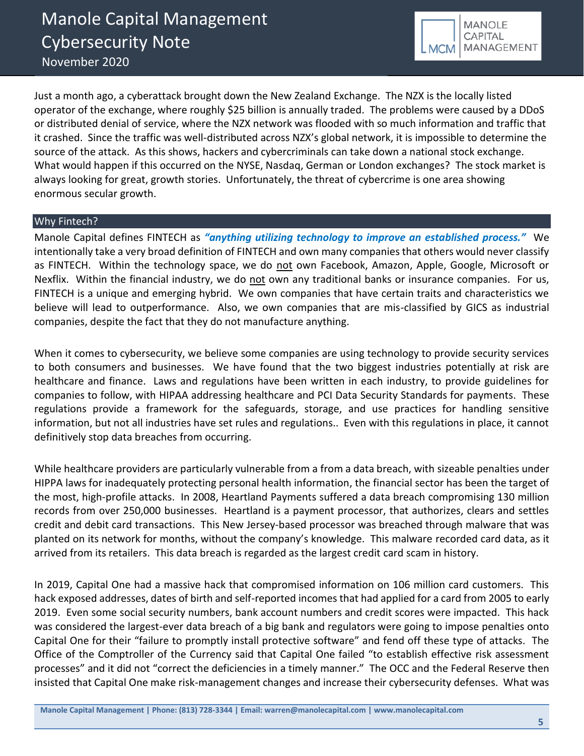

Just a month ago, a cyberattack brought down the New Zealand Exchange. The NZX is the locally listed operator of the exchange, where roughly \$25 billion is annually traded. The problems were caused by a DDoS or distributed denial of service, where the NZX network was flooded with so much information and traffic that it crashed. Since the traffic was well-distributed across NZX's global network, it is impossible to determine the source of the attack. As this shows, hackers and cybercriminals can take down a national stock exchange. What would happen if this occurred on the NYSE, Nasdaq, German or London exchanges? The stock market is always looking for great, growth stories. Unfortunately, the threat of cybercrime is one area showing enormous secular growth.

# Why Fintech?

Manole Capital defines FINTECH as *"anything utilizing technology to improve an established process."*We intentionally take a very broad definition of FINTECH and own many companies that others would never classify as FINTECH. Within the technology space, we do not own Facebook, Amazon, Apple, Google, Microsoft or Nexflix. Within the financial industry, we do not own any traditional banks or insurance companies. For us, FINTECH is a unique and emerging hybrid. We own companies that have certain traits and characteristics we believe will lead to outperformance. Also, we own companies that are mis-classified by GICS as industrial companies, despite the fact that they do not manufacture anything.

When it comes to cybersecurity, we believe some companies are using technology to provide security services to both consumers and businesses. We have found that the two biggest industries potentially at risk are healthcare and finance. Laws and regulations have been written in each industry, to provide guidelines for companies to follow, with HIPAA addressing healthcare and PCI Data Security Standards for payments. These regulations provide a framework for the safeguards, storage, and use practices for handling sensitive information, but not all industries have set rules and regulations.. Even with this regulations in place, it cannot definitively stop data breaches from occurring.

While healthcare providers are particularly vulnerable from a from a data breach, with sizeable penalties under HIPPA laws for inadequately protecting personal health information, the financial sector has been the target of the most, high-profile attacks. In 2008, Heartland Payments suffered a data breach compromising 130 million records from over 250,000 businesses. Heartland is a payment processor, that authorizes, clears and settles credit and debit card transactions. This New Jersey-based processor was breached through malware that was planted on its network for months, without the company's knowledge. This malware recorded card data, as it arrived from its retailers. This data breach is regarded as the largest credit card scam in history.

In 2019, Capital One had a massive hack that compromised information on 106 million card customers. This hack exposed addresses, dates of birth and self-reported incomes that had applied for a card from 2005 to early 2019. Even some social security numbers, bank account numbers and credit scores were impacted. This hack was considered the largest-ever data breach of a big bank and regulators were going to impose penalties onto Capital One for their "failure to promptly install protective software" and fend off these type of attacks. The Office of the Comptroller of the Currency said that Capital One failed "to establish effective risk assessment processes" and it did not "correct the deficiencies in a timely manner." The OCC and the Federal Reserve then insisted that Capital One make risk-management changes and increase their cybersecurity defenses. What was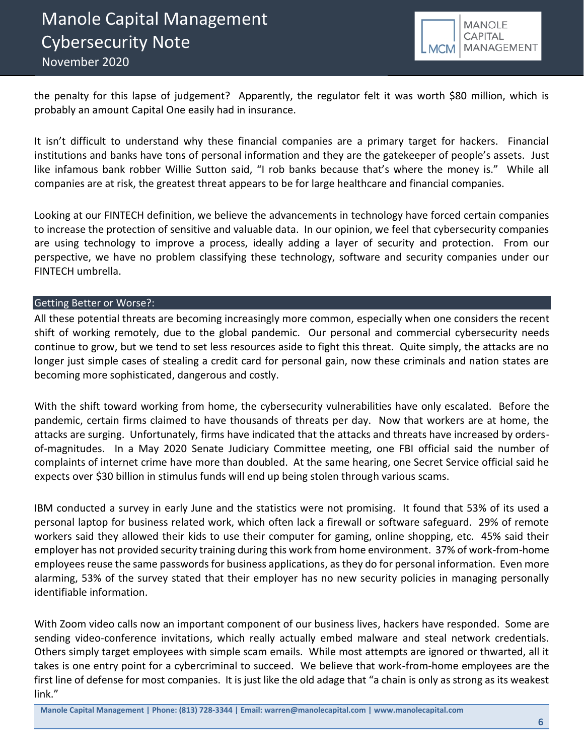

the penalty for this lapse of judgement? Apparently, the regulator felt it was worth \$80 million, which is probably an amount Capital One easily had in insurance.

It isn't difficult to understand why these financial companies are a primary target for hackers. Financial institutions and banks have tons of personal information and they are the gatekeeper of people's assets. Just like infamous bank robber Willie Sutton said, "I rob banks because that's where the money is." While all companies are at risk, the greatest threat appears to be for large healthcare and financial companies.

Looking at our FINTECH definition, we believe the advancements in technology have forced certain companies to increase the protection of sensitive and valuable data. In our opinion, we feel that cybersecurity companies are using technology to improve a process, ideally adding a layer of security and protection. From our perspective, we have no problem classifying these technology, software and security companies under our FINTECH umbrella.

# Getting Better or Worse?:

All these potential threats are becoming increasingly more common, especially when one considers the recent shift of working remotely, due to the global pandemic. Our personal and commercial cybersecurity needs continue to grow, but we tend to set less resources aside to fight this threat. Quite simply, the attacks are no longer just simple cases of stealing a credit card for personal gain, now these criminals and nation states are becoming more sophisticated, dangerous and costly.

With the shift toward working from home, the cybersecurity vulnerabilities have only escalated. Before the pandemic, certain firms claimed to have thousands of threats per day. Now that workers are at home, the attacks are surging. Unfortunately, firms have indicated that the attacks and threats have increased by ordersof-magnitudes. In a May 2020 Senate Judiciary Committee meeting, one FBI official said the number of complaints of internet crime have more than doubled. At the same hearing, one Secret Service official said he expects over \$30 billion in stimulus funds will end up being stolen through various scams.

IBM conducted a survey in early June and the statistics were not promising. It found that 53% of its used a personal laptop for business related work, which often lack a firewall or software safeguard. 29% of remote workers said they allowed their kids to use their computer for gaming, online shopping, etc. 45% said their employer has not provided security training during this work from home environment. 37% of work-from-home employees reuse the same passwords for business applications, as they do for personal information. Even more alarming, 53% of the survey stated that their employer has no new security policies in managing personally identifiable information.

With Zoom video calls now an important component of our business lives, hackers have responded. Some are sending video-conference invitations, which really actually embed malware and steal network credentials. Others simply target employees with simple scam emails. While most attempts are ignored or thwarted, all it takes is one entry point for a cybercriminal to succeed. We believe that work-from-home employees are the first line of defense for most companies. It is just like the old adage that "a chain is only as strong as its weakest link."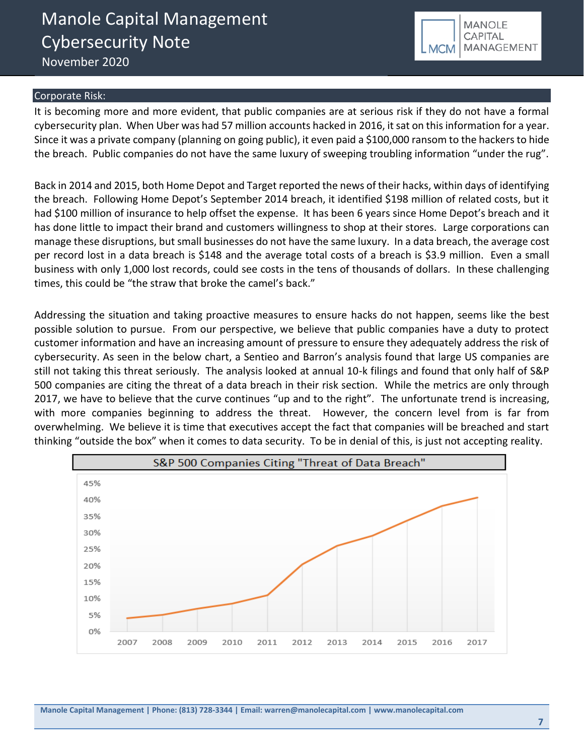

#### Corporate Risk:

It is becoming more and more evident, that public companies are at serious risk if they do not have a formal cybersecurity plan. When Uber was had 57 million accounts hacked in 2016, it sat on this information for a year. Since it was a private company (planning on going public), it even paid a \$100,000 ransom to the hackers to hide the breach. Public companies do not have the same luxury of sweeping troubling information "under the rug".

Back in 2014 and 2015, both Home Depot and Target reported the news of their hacks, within days of identifying the breach. Following Home Depot's September 2014 breach, it identified \$198 million of related costs, but it had \$100 million of insurance to help offset the expense. It has been 6 years since Home Depot's breach and it has done little to impact their brand and customers willingness to shop at their stores. Large corporations can manage these disruptions, but small businesses do not have the same luxury. In a data breach, the average cost per record lost in a data breach is \$148 and the average total costs of a breach is \$3.9 million. Even a small business with only 1,000 lost records, could see costs in the tens of thousands of dollars. In these challenging times, this could be "the straw that broke the camel's back."

Addressing the situation and taking proactive measures to ensure hacks do not happen, seems like the best possible solution to pursue. From our perspective, we believe that public companies have a duty to protect customer information and have an increasing amount of pressure to ensure they adequately address the risk of cybersecurity. As seen in the below chart, a Sentieo and Barron's analysis found that large US companies are still not taking this threat seriously. The analysis looked at annual 10-k filings and found that only half of S&P 500 companies are citing the threat of a data breach in their risk section. While the metrics are only through 2017, we have to believe that the curve continues "up and to the right". The unfortunate trend is increasing, with more companies beginning to address the threat. However, the concern level from is far from overwhelming. We believe it is time that executives accept the fact that companies will be breached and start thinking "outside the box" when it comes to data security. To be in denial of this, is just not accepting reality.

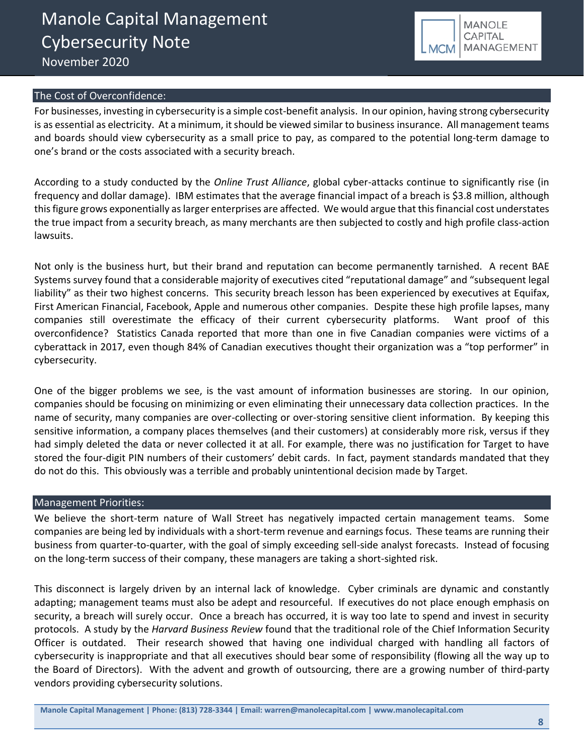

### The Cost of Overconfidence:

For businesses, investing in cybersecurity is a simple cost-benefit analysis. In our opinion, having strong cybersecurity is as essential as electricity. At a minimum, it should be viewed similar to business insurance. All management teams and boards should view cybersecurity as a small price to pay, as compared to the potential long-term damage to one's brand or the costs associated with a security breach.

According to a study conducted by the *Online Trust Alliance*, global cyber-attacks continue to significantly rise (in frequency and dollar damage). IBM estimates that the average financial impact of a breach is \$3.8 million, although this figure grows exponentially as larger enterprises are affected. We would argue that this financial cost understates the true impact from a security breach, as many merchants are then subjected to costly and high profile class-action lawsuits.

Not only is the business hurt, but their brand and reputation can become permanently tarnished. A recent BAE Systems survey found that a considerable majority of executives cited "reputational damage" and "subsequent legal liability" as their two highest concerns. This security breach lesson has been experienced by executives at Equifax, First American Financial, Facebook, Apple and numerous other companies. Despite these high profile lapses, many companies still overestimate the efficacy of their current cybersecurity platforms. Want proof of this overconfidence? Statistics Canada reported that more than one in five Canadian companies were victims of a cyberattack in 2017, even though 84% of Canadian executives thought their organization was a "top performer" in cybersecurity.

One of the bigger problems we see, is the vast amount of information businesses are storing. In our opinion, companies should be focusing on minimizing or even eliminating their unnecessary data collection practices. In the name of security, many companies are over-collecting or over-storing sensitive client information. By keeping this sensitive information, a company places themselves (and their customers) at considerably more risk, versus if they had simply deleted the data or never collected it at all. For example, there was no justification for Target to have stored the four-digit PIN numbers of their customers' debit cards. In fact, payment standards mandated that they do not do this. This obviously was a terrible and probably unintentional decision made by Target.

#### Management Priorities:

We believe the short-term nature of Wall Street has negatively impacted certain management teams. Some companies are being led by individuals with a short-term revenue and earnings focus. These teams are running their business from quarter-to-quarter, with the goal of simply exceeding sell-side analyst forecasts. Instead of focusing on the long-term success of their company, these managers are taking a short-sighted risk.

This disconnect is largely driven by an internal lack of knowledge. Cyber criminals are dynamic and constantly adapting; management teams must also be adept and resourceful. If executives do not place enough emphasis on security, a breach will surely occur. Once a breach has occurred, it is way too late to spend and invest in security protocols. A study by the *Harvard Business Review* found that the traditional role of the Chief Information Security Officer is outdated. Their research showed that having one individual charged with handling all factors of cybersecurity is inappropriate and that all executives should bear some of responsibility (flowing all the way up to the Board of Directors). With the advent and growth of outsourcing, there are a growing number of third-party vendors providing cybersecurity solutions.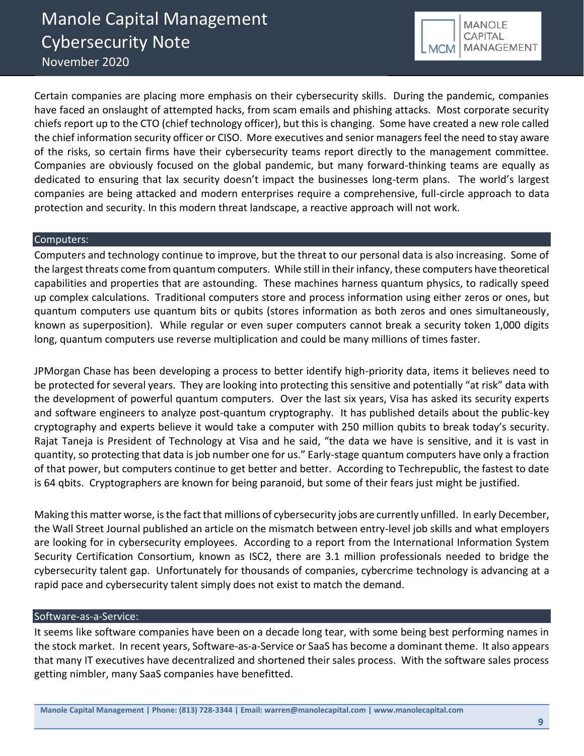![](_page_8_Picture_1.jpeg)

Certain companies are placing more emphasis on their cybersecurity skills. During the pandemic, companies have faced an onslaught of attempted hacks, from scam emails and phishing attacks. Most corporate security chiefs report up to the CTO (chief technology officer), but this is changing. Some have created a new role called the chief information security officer or CISO. More executives and senior managers feel the need to stay aware of the risks, so certain firms have their cybersecurity teams report directly to the management committee. Companies are obviously focused on the global pandemic, but many forward-thinking teams are equally as dedicated to ensuring that lax security doesn't impact the businesses long-term plans. The world's largest companies are being attacked and modern enterprises require a comprehensive, full-circle approach to data protection and security. In this modern threat landscape, a reactive approach will not work.

# Computers:

Computers and technology continue to improve, but the threat to our personal data is also increasing. Some of the largest threats come from quantum computers. While still in their infancy, these computers have theoretical capabilities and properties that are astounding. These machines harness quantum physics, to radically speed up complex calculations. Traditional computers store and process information using either zeros or ones, but quantum computers use quantum bits or qubits (stores information as both zeros and ones simultaneously, known as superposition). While regular or even super computers cannot break a security token 1,000 digits long, quantum computers use reverse multiplication and could be many millions of times faster.

JPMorgan Chase has been developing a process to better identify high-priority data, items it believes need to be protected for several years. They are looking into protecting this sensitive and potentially "at risk" data with the development of powerful quantum computers. Over the last six years, Visa has asked its security experts and software engineers to analyze post-quantum cryptography. It has published details about the public-key cryptography and experts believe it would take a computer with 250 million qubits to break today's security. Rajat Taneja is President of Technology at Visa and he said, "the data we have is sensitive, and it is vast in quantity, so protecting that data is job number one for us." Early-stage quantum computers have only a fraction of that power, but computers continue to get better and better. According to Techrepublic, the fastest to date is 64 qbits. Cryptographers are known for being paranoid, but some of their fears just might be justified.

Making this matter worse, is the fact that millions of cybersecurity jobs are currently unfilled. In early December, the Wall Street Journal published an article on the mismatch between entry-level job skills and what employers are looking for in cybersecurity employees. According to a report from the International Information System Security Certification Consortium, known as ISC2, there are 3.1 million professionals needed to bridge the cybersecurity talent gap. Unfortunately for thousands of companies, cybercrime technology is advancing at a rapid pace and cybersecurity talent simply does not exist to match the demand.

# Software-as-a-Service:

It seems like software companies have been on a decade long tear, with some being best performing names in the stock market. In recent years, Software-as-a-Service or SaaS has become a dominant theme. It also appears that many IT executives have decentralized and shortened their sales process. With the software sales process getting nimbler, many SaaS companies have benefitted.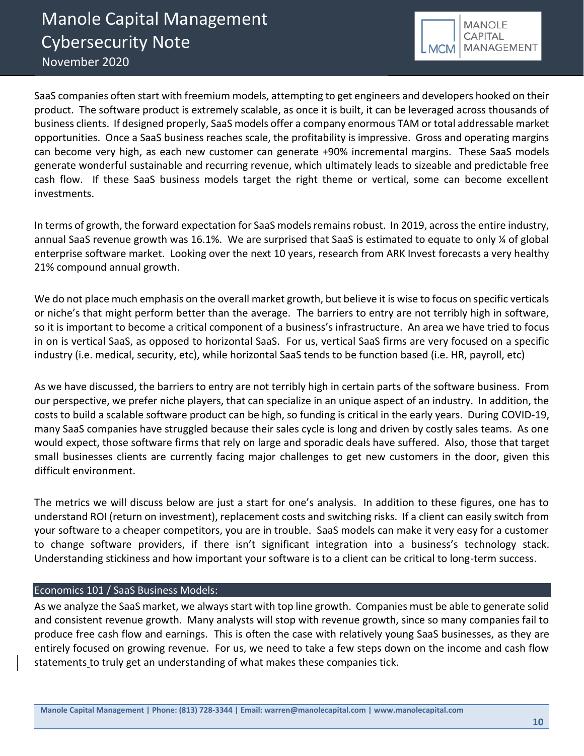![](_page_9_Picture_1.jpeg)

SaaS companies often start with freemium models, attempting to get engineers and developers hooked on their product. The software product is extremely scalable, as once it is built, it can be leveraged across thousands of business clients. If designed properly, SaaS models offer a company enormous TAM or total addressable market opportunities. Once a SaaS business reaches scale, the profitability is impressive. Gross and operating margins can become very high, as each new customer can generate +90% incremental margins. These SaaS models generate wonderful sustainable and recurring revenue, which ultimately leads to sizeable and predictable free cash flow. If these SaaS business models target the right theme or vertical, some can become excellent investments.

In terms of growth, the forward expectation for SaaS models remains robust. In 2019, across the entire industry, annual SaaS revenue growth was 16.1%. We are surprised that SaaS is estimated to equate to only ¼ of global enterprise software market. Looking over the next 10 years, research from ARK Invest forecasts a very healthy 21% compound annual growth.

We do not place much emphasis on the overall market growth, but believe it is wise to focus on specific verticals or niche's that might perform better than the average. The barriers to entry are not terribly high in software, so it is important to become a critical component of a business's infrastructure. An area we have tried to focus in on is vertical SaaS, as opposed to horizontal SaaS. For us, vertical SaaS firms are very focused on a specific industry (i.e. medical, security, etc), while horizontal SaaS tends to be function based (i.e. HR, payroll, etc)

As we have discussed, the barriers to entry are not terribly high in certain parts of the software business. From our perspective, we prefer niche players, that can specialize in an unique aspect of an industry. In addition, the costs to build a scalable software product can be high, so funding is critical in the early years. During COVID-19, many SaaS companies have struggled because their sales cycle is long and driven by costly sales teams. As one would expect, those software firms that rely on large and sporadic deals have suffered. Also, those that target small businesses clients are currently facing major challenges to get new customers in the door, given this difficult environment.

The metrics we will discuss below are just a start for one's analysis. In addition to these figures, one has to understand ROI (return on investment), replacement costs and switching risks. If a client can easily switch from your software to a cheaper competitors, you are in trouble. SaaS models can make it very easy for a customer to change software providers, if there isn't significant integration into a business's technology stack. Understanding stickiness and how important your software is to a client can be critical to long-term success.

# Economics 101 / SaaS Business Models:

As we analyze the SaaS market, we always start with top line growth. Companies must be able to generate solid and consistent revenue growth. Many analysts will stop with revenue growth, since so many companies fail to produce free cash flow and earnings. This is often the case with relatively young SaaS businesses, as they are entirely focused on growing revenue. For us, we need to take a few steps down on the income and cash flow statements to truly get an understanding of what makes these companies tick.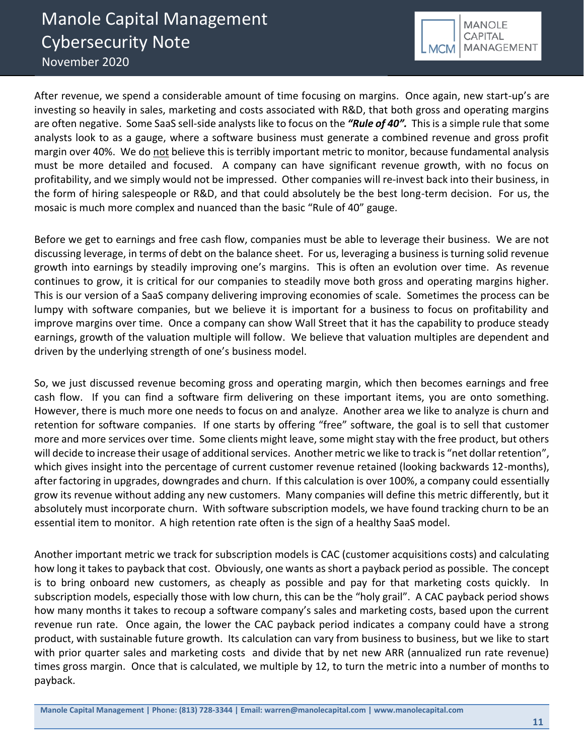![](_page_10_Picture_1.jpeg)

After revenue, we spend a considerable amount of time focusing on margins. Once again, new start-up's are investing so heavily in sales, marketing and costs associated with R&D, that both gross and operating margins are often negative. Some SaaS sell-side analysts like to focus on the *"Rule of 40".* This is a simple rule that some analysts look to as a gauge, where a software business must generate a combined revenue and gross profit margin over 40%. We do not believe this is terribly important metric to monitor, because fundamental analysis must be more detailed and focused. A company can have significant revenue growth, with no focus on profitability, and we simply would not be impressed. Other companies will re-invest back into their business, in the form of hiring salespeople or R&D, and that could absolutely be the best long-term decision. For us, the mosaic is much more complex and nuanced than the basic "Rule of 40" gauge.

Before we get to earnings and free cash flow, companies must be able to leverage their business. We are not discussing leverage, in terms of debt on the balance sheet. For us, leveraging a business is turning solid revenue growth into earnings by steadily improving one's margins. This is often an evolution over time. As revenue continues to grow, it is critical for our companies to steadily move both gross and operating margins higher. This is our version of a SaaS company delivering improving economies of scale. Sometimes the process can be lumpy with software companies, but we believe it is important for a business to focus on profitability and improve margins over time. Once a company can show Wall Street that it has the capability to produce steady earnings, growth of the valuation multiple will follow. We believe that valuation multiples are dependent and driven by the underlying strength of one's business model.

So, we just discussed revenue becoming gross and operating margin, which then becomes earnings and free cash flow. If you can find a software firm delivering on these important items, you are onto something. However, there is much more one needs to focus on and analyze. Another area we like to analyze is churn and retention for software companies. If one starts by offering "free" software, the goal is to sell that customer more and more services over time. Some clients might leave, some might stay with the free product, but others will decide to increase their usage of additional services. Another metric we like to track is "net dollar retention", which gives insight into the percentage of current customer revenue retained (looking backwards 12-months), after factoring in upgrades, downgrades and churn. If this calculation is over 100%, a company could essentially grow its revenue without adding any new customers. Many companies will define this metric differently, but it absolutely must incorporate churn. With software subscription models, we have found tracking churn to be an essential item to monitor. A high retention rate often is the sign of a healthy SaaS model.

Another important metric we track for subscription models is CAC (customer acquisitions costs) and calculating how long it takes to payback that cost. Obviously, one wants as short a payback period as possible. The concept is to bring onboard new customers, as cheaply as possible and pay for that marketing costs quickly. In subscription models, especially those with low churn, this can be the "holy grail". A CAC payback period shows how many months it takes to recoup a software company's sales and marketing costs, based upon the current revenue run rate. Once again, the lower the CAC payback period indicates a company could have a strong product, with sustainable future growth. Its calculation can vary from business to business, but we like to start with prior quarter sales and marketing costs and divide that by net new ARR (annualized run rate revenue) times gross margin. Once that is calculated, we multiple by 12, to turn the metric into a number of months to payback.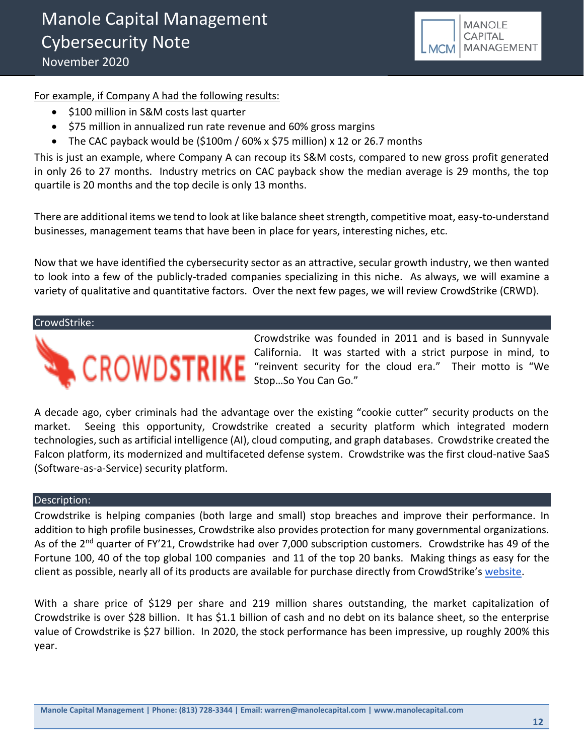![](_page_11_Picture_1.jpeg)

For example, if Company A had the following results:

- \$100 million in S&M costs last quarter
- \$75 million in annualized run rate revenue and 60% gross margins
- The CAC payback would be (\$100m / 60% x \$75 million) x 12 or 26.7 months

This is just an example, where Company A can recoup its S&M costs, compared to new gross profit generated in only 26 to 27 months. Industry metrics on CAC payback show the median average is 29 months, the top quartile is 20 months and the top decile is only 13 months.

There are additional items we tend to look at like balance sheet strength, competitive moat, easy-to-understand businesses, management teams that have been in place for years, interesting niches, etc.

Now that we have identified the cybersecurity sector as an attractive, secular growth industry, we then wanted to look into a few of the publicly-traded companies specializing in this niche. As always, we will examine a variety of qualitative and quantitative factors. Over the next few pages, we will review CrowdStrike (CRWD).

#### CrowdStrike:

![](_page_11_Picture_10.jpeg)

Crowdstrike was founded in 2011 and is based in Sunnyvale California. It was started with a strict purpose in mind, to "reinvent security for the cloud era." Their motto is "We Stop…So You Can Go."

A decade ago, cyber criminals had the advantage over the existing "cookie cutter" security products on the market. Seeing this opportunity, Crowdstrike created a security platform which integrated modern technologies, such as artificial intelligence (AI), cloud computing, and graph databases. Crowdstrike created the Falcon platform, its modernized and multifaceted defense system. Crowdstrike was the first cloud-native SaaS (Software-as-a-Service) security platform.

#### Description:

Crowdstrike is helping companies (both large and small) stop breaches and improve their performance. In addition to high profile businesses, Crowdstrike also provides protection for many governmental organizations. As of the 2<sup>nd</sup> quarter of FY'21, Crowdstrike had over 7,000 subscription customers. Crowdstrike has 49 of the Fortune 100, 40 of the top global 100 companies and 11 of the top 20 banks. Making things as easy for the client as possible, nearly all of its products are available for purchase directly from CrowdStrike's [website.](https://www.crowdstrike.com/?utm_expid=.XfysNxyCSV2dpcFrQWQESw.0&utm_referrer=https%3A%2F%2Fwww.google.com%2F)

With a share price of \$129 per share and 219 million shares outstanding, the market capitalization of Crowdstrike is over \$28 billion. It has \$1.1 billion of cash and no debt on its balance sheet, so the enterprise value of Crowdstrike is \$27 billion. In 2020, the stock performance has been impressive, up roughly 200% this year.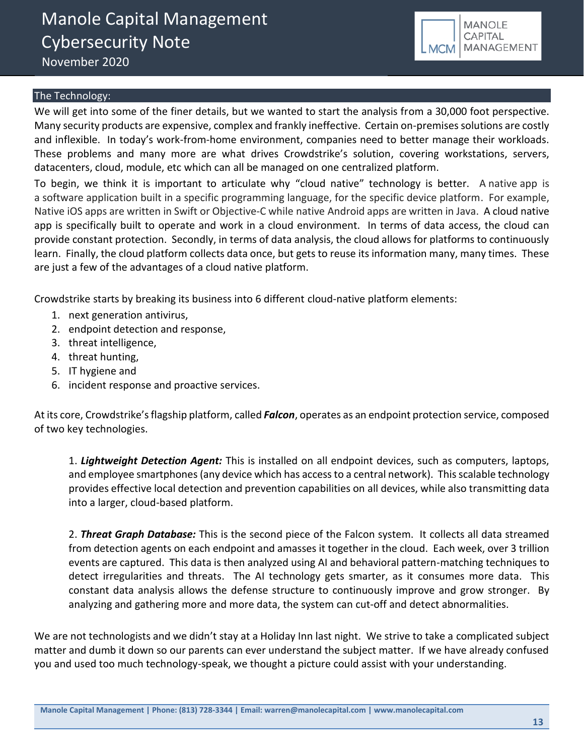![](_page_12_Picture_1.jpeg)

# The Technology:

We will get into some of the finer details, but we wanted to start the analysis from a 30,000 foot perspective. Many security products are expensive, complex and frankly ineffective. Certain on-premises solutions are costly and inflexible. In today's work-from-home environment, companies need to better manage their workloads. These problems and many more are what drives Crowdstrike's solution, covering workstations, servers, datacenters, cloud, module, etc which can all be managed on one centralized platform.

To begin, we think it is important to articulate why "cloud native" technology is better. A native app is a software application built in a specific programming language, for the specific device platform. For example, Native iOS apps are written in Swift or Objective-C while native Android apps are written in Java. A cloud native app is specifically built to operate and work in a cloud environment. In terms of data access, the cloud can provide constant protection. Secondly, in terms of data analysis, the cloud allows for platforms to continuously learn. Finally, the cloud platform collects data once, but gets to reuse its information many, many times. These are just a few of the advantages of a cloud native platform.

Crowdstrike starts by breaking its business into 6 different cloud-native platform elements:

- 1. next generation antivirus,
- 2. endpoint detection and response,
- 3. threat intelligence,
- 4. threat hunting,
- 5. IT hygiene and
- 6. incident response and proactive services.

At its core, Crowdstrike'sflagship platform, called *Falcon*, operates as an endpoint protection service, composed of two key technologies.

1. *Lightweight Detection Agent:* This is installed on all endpoint devices, such as computers, laptops, and employee smartphones (any device which has access to a central network). This scalable technology provides effective local detection and prevention capabilities on all devices, while also transmitting data into a larger, cloud-based platform.

2. *Threat Graph Database:* This is the second piece of the Falcon system. It collects all data streamed from detection agents on each endpoint and amasses it together in the cloud. Each week, over 3 trillion events are captured. This data is then analyzed using AI and behavioral pattern-matching techniques to detect irregularities and threats. The AI technology gets smarter, as it consumes more data. This constant data analysis allows the defense structure to continuously improve and grow stronger. By analyzing and gathering more and more data, the system can cut-off and detect abnormalities.

We are not technologists and we didn't stay at a Holiday Inn last night. We strive to take a complicated subject matter and dumb it down so our parents can ever understand the subject matter. If we have already confused you and used too much technology-speak, we thought a picture could assist with your understanding.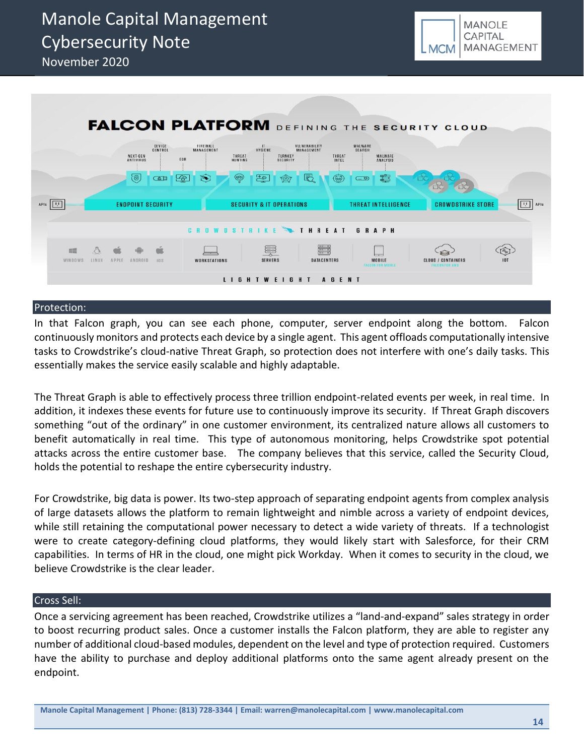![](_page_13_Picture_1.jpeg)

![](_page_13_Figure_2.jpeg)

#### Protection:

In that Falcon graph, you can see each phone, computer, server endpoint along the bottom. Falcon continuously monitors and protects each device by a single agent. This agent offloads computationally intensive tasks to Crowdstrike's cloud-native Threat Graph, so protection does not interfere with one's daily tasks. This essentially makes the service easily scalable and highly adaptable.

The Threat Graph is able to effectively process three trillion endpoint-related events per week, in real time. In addition, it indexes these events for future use to continuously improve its security. If Threat Graph discovers something "out of the ordinary" in one customer environment, its centralized nature allows all customers to benefit automatically in real time. This type of autonomous monitoring, helps Crowdstrike spot potential attacks across the entire customer base. The company believes that this service, called the Security Cloud, holds the potential to reshape the entire cybersecurity industry.

For Crowdstrike, big data is power. Its two-step approach of separating endpoint agents from complex analysis of large datasets allows the platform to remain lightweight and nimble across a variety of endpoint devices, while still retaining the computational power necessary to detect a wide variety of threats. If a technologist were to create category-defining cloud platforms, they would likely start with Salesforce, for their CRM capabilities. In terms of HR in the cloud, one might pick Workday. When it comes to security in the cloud, we believe Crowdstrike is the clear leader.

# Cross Sell:

Once a servicing agreement has been reached, Crowdstrike utilizes a "land-and-expand" sales strategy in order to boost recurring product sales. Once a customer installs the Falcon platform, they are able to register any number of additional cloud-based modules, dependent on the level and type of protection required. Customers have the ability to purchase and deploy additional platforms onto the same agent already present on the endpoint.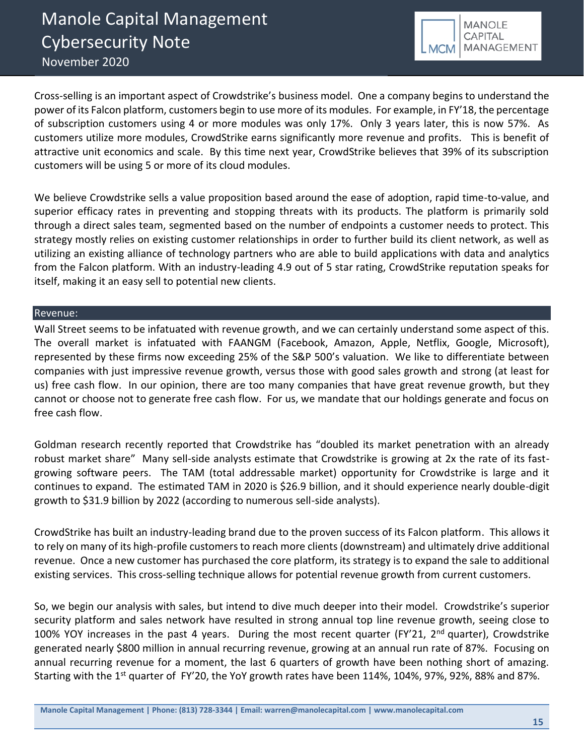![](_page_14_Picture_1.jpeg)

Cross-selling is an important aspect of Crowdstrike's business model. One a company begins to understand the power of its Falcon platform, customers begin to use more of its modules. For example, in FY'18, the percentage of subscription customers using 4 or more modules was only 17%. Only 3 years later, this is now 57%. As customers utilize more modules, CrowdStrike earns significantly more revenue and profits. This is benefit of attractive unit economics and scale. By this time next year, CrowdStrike believes that 39% of its subscription customers will be using 5 or more of its cloud modules.

We believe Crowdstrike sells a value proposition based around the ease of adoption, rapid time-to-value, and superior efficacy rates in preventing and stopping threats with its products. The platform is primarily sold through a direct sales team, segmented based on the number of endpoints a customer needs to protect. This strategy mostly relies on existing customer relationships in order to further build its client network, as well as utilizing an existing alliance of technology partners who are able to build applications with data and analytics from the Falcon platform. With an industry-leading 4.9 out of 5 star rating, CrowdStrike reputation speaks for itself, making it an easy sell to potential new clients.

# Revenue:

Wall Street seems to be infatuated with revenue growth, and we can certainly understand some aspect of this. The overall market is infatuated with FAANGM (Facebook, Amazon, Apple, Netflix, Google, Microsoft), represented by these firms now exceeding 25% of the S&P 500's valuation. We like to differentiate between companies with just impressive revenue growth, versus those with good sales growth and strong (at least for us) free cash flow. In our opinion, there are too many companies that have great revenue growth, but they cannot or choose not to generate free cash flow. For us, we mandate that our holdings generate and focus on free cash flow.

Goldman research recently reported that Crowdstrike has "doubled its market penetration with an already robust market share" Many sell-side analysts estimate that Crowdstrike is growing at 2x the rate of its fastgrowing software peers. The TAM (total addressable market) opportunity for Crowdstrike is large and it continues to expand. The estimated TAM in 2020 is \$26.9 billion, and it should experience nearly double-digit growth to \$31.9 billion by 2022 (according to numerous sell-side analysts).

CrowdStrike has built an industry-leading brand due to the proven success of its Falcon platform. This allows it to rely on many of its high-profile customers to reach more clients (downstream) and ultimately drive additional revenue. Once a new customer has purchased the core platform, its strategy is to expand the sale to additional existing services. This cross-selling technique allows for potential revenue growth from current customers.

So, we begin our analysis with sales, but intend to dive much deeper into their model. Crowdstrike's superior security platform and sales network have resulted in strong annual top line revenue growth, seeing close to 100% YOY increases in the past 4 years. During the most recent quarter (FY'21, 2<sup>nd</sup> quarter), Crowdstrike generated nearly \$800 million in annual recurring revenue, growing at an annual run rate of 87%. Focusing on annual recurring revenue for a moment, the last 6 quarters of growth have been nothing short of amazing. Starting with the 1<sup>st</sup> quarter of FY'20, the YoY growth rates have been 114%, 104%, 97%, 92%, 88% and 87%.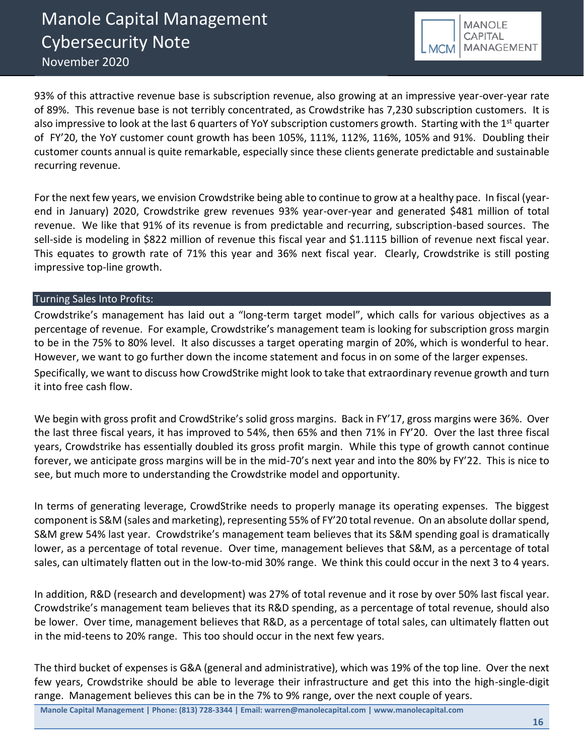![](_page_15_Picture_1.jpeg)

93% of this attractive revenue base is subscription revenue, also growing at an impressive year-over-year rate of 89%. This revenue base is not terribly concentrated, as Crowdstrike has 7,230 subscription customers. It is also impressive to look at the last 6 quarters of YoY subscription customers growth. Starting with the 1<sup>st</sup> quarter of FY'20, the YoY customer count growth has been 105%, 111%, 112%, 116%, 105% and 91%. Doubling their customer counts annual is quite remarkable, especially since these clients generate predictable and sustainable recurring revenue.

For the next few years, we envision Crowdstrike being able to continue to grow at a healthy pace. In fiscal (yearend in January) 2020, Crowdstrike grew revenues 93% year-over-year and generated \$481 million of total revenue. We like that 91% of its revenue is from predictable and recurring, subscription-based sources. The sell-side is modeling in \$822 million of revenue this fiscal year and \$1.1115 billion of revenue next fiscal year. This equates to growth rate of 71% this year and 36% next fiscal year. Clearly, Crowdstrike is still posting impressive top-line growth.

# Turning Sales Into Profits:

Crowdstrike's management has laid out a "long-term target model", which calls for various objectives as a percentage of revenue. For example, Crowdstrike's management team is looking for subscription gross margin to be in the 75% to 80% level. It also discusses a target operating margin of 20%, which is wonderful to hear. However, we want to go further down the income statement and focus in on some of the larger expenses. Specifically, we want to discuss how CrowdStrike might look to take that extraordinary revenue growth and turn it into free cash flow.

We begin with gross profit and CrowdStrike's solid gross margins. Back in FY'17, gross margins were 36%. Over the last three fiscal years, it has improved to 54%, then 65% and then 71% in FY'20. Over the last three fiscal years, Crowdstrike has essentially doubled its gross profit margin. While this type of growth cannot continue forever, we anticipate gross margins will be in the mid-70's next year and into the 80% by FY'22. This is nice to see, but much more to understanding the Crowdstrike model and opportunity.

In terms of generating leverage, CrowdStrike needs to properly manage its operating expenses. The biggest component is S&M (sales and marketing), representing 55% of FY'20 total revenue. On an absolute dollar spend, S&M grew 54% last year. Crowdstrike's management team believes that its S&M spending goal is dramatically lower, as a percentage of total revenue. Over time, management believes that S&M, as a percentage of total sales, can ultimately flatten out in the low-to-mid 30% range. We think this could occur in the next 3 to 4 years.

In addition, R&D (research and development) was 27% of total revenue and it rose by over 50% last fiscal year. Crowdstrike's management team believes that its R&D spending, as a percentage of total revenue, should also be lower. Over time, management believes that R&D, as a percentage of total sales, can ultimately flatten out in the mid-teens to 20% range. This too should occur in the next few years.

The third bucket of expenses is G&A (general and administrative), which was 19% of the top line. Over the next few years, Crowdstrike should be able to leverage their infrastructure and get this into the high-single-digit range. Management believes this can be in the 7% to 9% range, over the next couple of years.

**Manole Capital Management | Phone: (813) 728-3344 | Email: warren@manolecapital.com | www.manolecapital.com**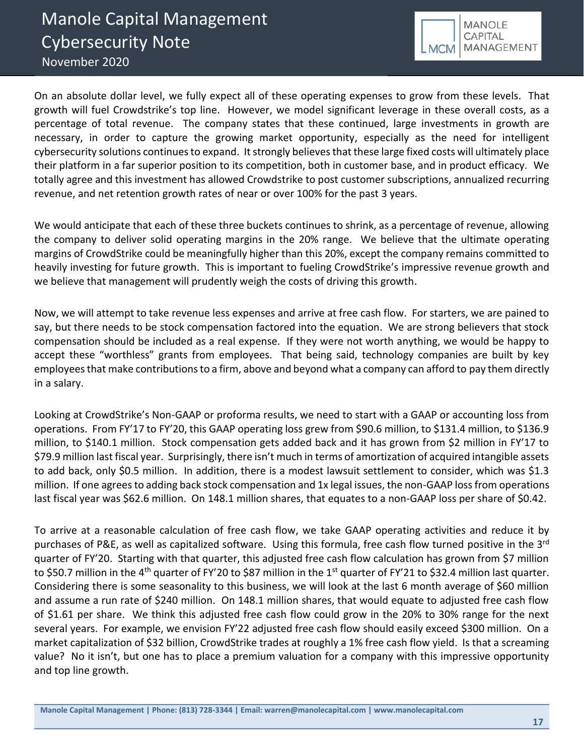![](_page_16_Picture_1.jpeg)

On an absolute dollar level, we fully expect all of these operating expenses to grow from these levels. That growth will fuel Crowdstrike's top line. However, we model significant leverage in these overall costs, as a percentage of total revenue. The company states that these continued, large investments in growth are necessary, in order to capture the growing market opportunity, especially as the need for intelligent cybersecurity solutions continues to expand. It strongly believes that these large fixed costs will ultimately place their platform in a far superior position to its competition, both in customer base, and in product efficacy. We totally agree and this investment has allowed Crowdstrike to post customer subscriptions, annualized recurring revenue, and net retention growth rates of near or over 100% for the past 3 years.

We would anticipate that each of these three buckets continues to shrink, as a percentage of revenue, allowing the company to deliver solid operating margins in the 20% range. We believe that the ultimate operating margins of CrowdStrike could be meaningfully higher than this 20%, except the company remains committed to heavily investing for future growth. This is important to fueling CrowdStrike's impressive revenue growth and we believe that management will prudently weigh the costs of driving this growth.

Now, we will attempt to take revenue less expenses and arrive at free cash flow. For starters, we are pained to say, but there needs to be stock compensation factored into the equation. We are strong believers that stock compensation should be included as a real expense. If they were not worth anything, we would be happy to accept these "worthless" grants from employees. That being said, technology companies are built by key employees that make contributions to a firm, above and beyond what a company can afford to pay them directly in a salary.

Looking at CrowdStrike's Non-GAAP or proforma results, we need to start with a GAAP or accounting loss from operations. From FY'17 to FY'20, this GAAP operating loss grew from \$90.6 million, to \$131.4 million, to \$136.9 million, to \$140.1 million. Stock compensation gets added back and it has grown from \$2 million in FY'17 to \$79.9 million last fiscal year. Surprisingly, there isn't much in terms of amortization of acquired intangible assets to add back, only \$0.5 million. In addition, there is a modest lawsuit settlement to consider, which was \$1.3 million. If one agrees to adding back stock compensation and 1x legal issues, the non-GAAP loss from operations last fiscal year was \$62.6 million. On 148.1 million shares, that equates to a non-GAAP loss per share of \$0.42.

To arrive at a reasonable calculation of free cash flow, we take GAAP operating activities and reduce it by purchases of P&E, as well as capitalized software. Using this formula, free cash flow turned positive in the 3<sup>rd</sup> quarter of FY'20. Starting with that quarter, this adjusted free cash flow calculation has grown from \$7 million to \$50.7 million in the 4<sup>th</sup> quarter of FY'20 to \$87 million in the 1<sup>st</sup> quarter of FY'21 to \$32.4 million last quarter. Considering there is some seasonality to this business, we will look at the last 6 month average of \$60 million and assume a run rate of \$240 million. On 148.1 million shares, that would equate to adjusted free cash flow of \$1.61 per share. We think this adjusted free cash flow could grow in the 20% to 30% range for the next several years. For example, we envision FY'22 adjusted free cash flow should easily exceed \$300 million. On a market capitalization of \$32 billion, CrowdStrike trades at roughly a 1% free cash flow yield. Is that a screaming value? No it isn't, but one has to place a premium valuation for a company with this impressive opportunity and top line growth.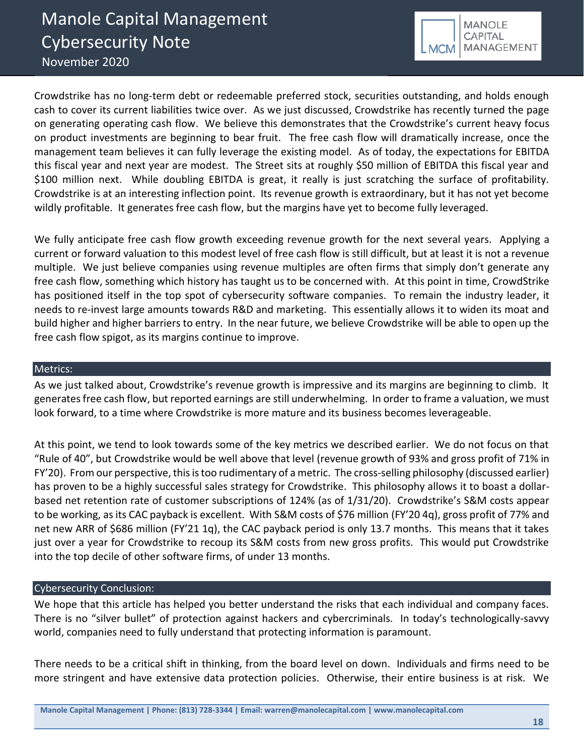![](_page_17_Picture_1.jpeg)

Crowdstrike has no long-term debt or redeemable preferred stock, securities outstanding, and holds enough cash to cover its current liabilities twice over. As we just discussed, Crowdstrike has recently turned the page on generating operating cash flow. We believe this demonstrates that the Crowdstrike's current heavy focus on product investments are beginning to bear fruit. The free cash flow will dramatically increase, once the management team believes it can fully leverage the existing model. As of today, the expectations for EBITDA this fiscal year and next year are modest. The Street sits at roughly \$50 million of EBITDA this fiscal year and \$100 million next. While doubling EBITDA is great, it really is just scratching the surface of profitability. Crowdstrike is at an interesting inflection point. Its revenue growth is extraordinary, but it has not yet become wildly profitable. It generates free cash flow, but the margins have yet to become fully leveraged.

We fully anticipate free cash flow growth exceeding revenue growth for the next several years. Applying a current or forward valuation to this modest level of free cash flow is still difficult, but at least it is not a revenue multiple. We just believe companies using revenue multiples are often firms that simply don't generate any free cash flow, something which history has taught us to be concerned with. At this point in time, CrowdStrike has positioned itself in the top spot of cybersecurity software companies. To remain the industry leader, it needs to re-invest large amounts towards R&D and marketing. This essentially allows it to widen its moat and build higher and higher barriers to entry. In the near future, we believe Crowdstrike will be able to open up the free cash flow spigot, as its margins continue to improve.

# Metrics:

As we just talked about, Crowdstrike's revenue growth is impressive and its margins are beginning to climb. It generates free cash flow, but reported earnings are still underwhelming. In order to frame a valuation, we must look forward, to a time where Crowdstrike is more mature and its business becomes leverageable.

At this point, we tend to look towards some of the key metrics we described earlier. We do not focus on that "Rule of 40", but Crowdstrike would be well above that level (revenue growth of 93% and gross profit of 71% in FY'20). From our perspective, this is too rudimentary of a metric. The cross-selling philosophy (discussed earlier) has proven to be a highly successful sales strategy for Crowdstrike. This philosophy allows it to boast a dollarbased net retention rate of customer subscriptions of 124% (as of 1/31/20). Crowdstrike's S&M costs appear to be working, as its CAC payback is excellent. With S&M costs of \$76 million (FY'20 4q), gross profit of 77% and net new ARR of \$686 million (FY'21 1q), the CAC payback period is only 13.7 months. This means that it takes just over a year for Crowdstrike to recoup its S&M costs from new gross profits. This would put Crowdstrike into the top decile of other software firms, of under 13 months.

# Cybersecurity Conclusion:

We hope that this article has helped you better understand the risks that each individual and company faces. There is no "silver bullet" of protection against hackers and cybercriminals. In today's technologically-savvy world, companies need to fully understand that protecting information is paramount.

There needs to be a critical shift in thinking, from the board level on down. Individuals and firms need to be more stringent and have extensive data protection policies. Otherwise, their entire business is at risk. We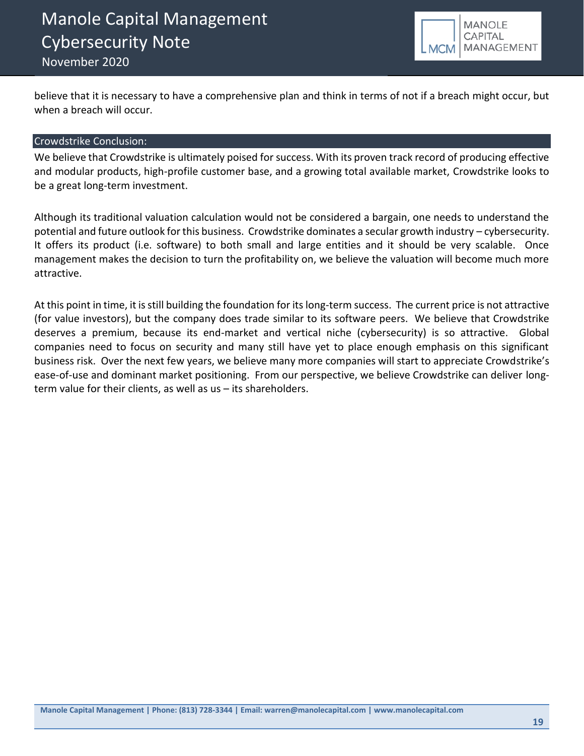![](_page_18_Picture_1.jpeg)

believe that it is necessary to have a comprehensive plan and think in terms of not if a breach might occur, but when a breach will occur.

# Crowdstrike Conclusion:

We believe that Crowdstrike is ultimately poised for success. With its proven track record of producing effective and modular products, high-profile customer base, and a growing total available market, Crowdstrike looks to be a great long-term investment.

Although its traditional valuation calculation would not be considered a bargain, one needs to understand the potential and future outlook for this business. Crowdstrike dominates a secular growth industry – cybersecurity. It offers its product (i.e. software) to both small and large entities and it should be very scalable. Once management makes the decision to turn the profitability on, we believe the valuation will become much more attractive.

At this point in time, it is still building the foundation for its long-term success. The current price is not attractive (for value investors), but the company does trade similar to its software peers. We believe that Crowdstrike deserves a premium, because its end-market and vertical niche (cybersecurity) is so attractive. Global companies need to focus on security and many still have yet to place enough emphasis on this significant business risk. Over the next few years, we believe many more companies will start to appreciate Crowdstrike's ease-of-use and dominant market positioning. From our perspective, we believe Crowdstrike can deliver longterm value for their clients, as well as us – its shareholders.